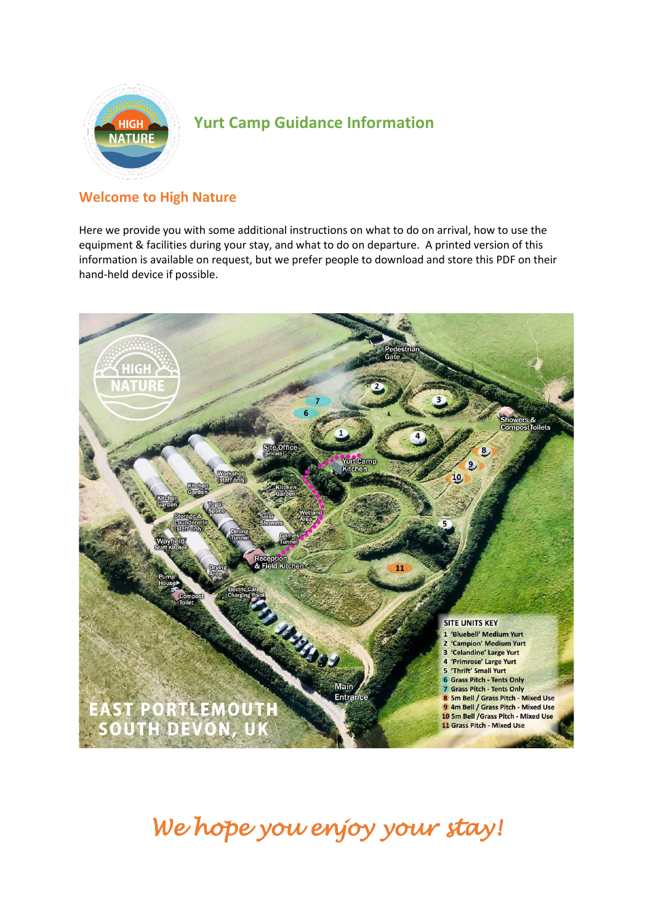

# **Yurt Camp Guidance Information**

# **Welcome to High Nature**

Here we provide you with some additional instructions on what to do on arrival, how to use the equipment & facilities during your stay, and what to do on departure. A printed version of this information is available on request, but we prefer people to download and store this PDF on their hand-held device if possible.



*We hope you enjoy your stay!*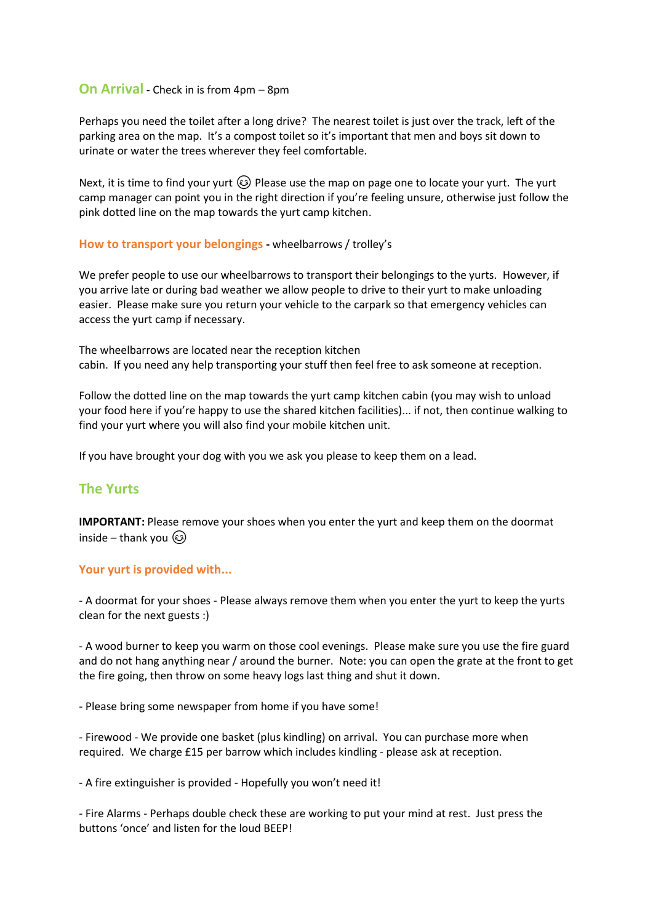### **On Arrival -** Check in is from 4pm – 8pm

Perhaps you need the toilet after a long drive? The nearest toilet is just over the track, left of the parking area on the map. It's a compost toilet so it's important that men and boys sit down to urinate or water the trees wherever they feel comfortable.

Next, it is time to find your yurt  $\circled{S}$  Please use the map on page one to locate your yurt. The yurt camp manager can point you in the right direction if you're feeling unsure, otherwise just follow the pink dotted line on the map towards the yurt camp kitchen.

#### **How to transport your belongings -** wheelbarrows / trolley's

We prefer people to use our wheelbarrows to transport their belongings to the yurts. However, if you arrive late or during bad weather we allow people to drive to their yurt to make unloading easier. Please make sure you return your vehicle to the carpark so that emergency vehicles can access the yurt camp if necessary.

The wheelbarrows are located near the reception kitchen cabin. If you need any help transporting your stuff then feel free to ask someone at reception.

Follow the dotted line on the map towards the yurt camp kitchen cabin (you may wish to unload your food here if you're happy to use the shared kitchen facilities)... if not, then continue walking to find your yurt where you will also find your mobile kitchen unit.

If you have brought your dog with you we ask you please to keep them on a lead.

# **The Yurts**

**IMPORTANT:** Please remove your shoes when you enter the yurt and keep them on the doormat inside – thank you

#### **Your yurt is provided with...**

- A doormat for your shoes - Please always remove them when you enter the yurt to keep the yurts clean for the next guests :)

- A wood burner to keep you warm on those cool evenings. Please make sure you use the fire guard and do not hang anything near / around the burner. Note: you can open the grate at the front to get the fire going, then throw on some heavy logs last thing and shut it down.

- Please bring some newspaper from home if you have some!

- Firewood - We provide one basket (plus kindling) on arrival. You can purchase more when required. We charge £15 per barrow which includes kindling - please ask at reception.

- A fire extinguisher is provided - Hopefully you won't need it!

- Fire Alarms - Perhaps double check these are working to put your mind at rest. Just press the buttons 'once' and listen for the loud BEEP!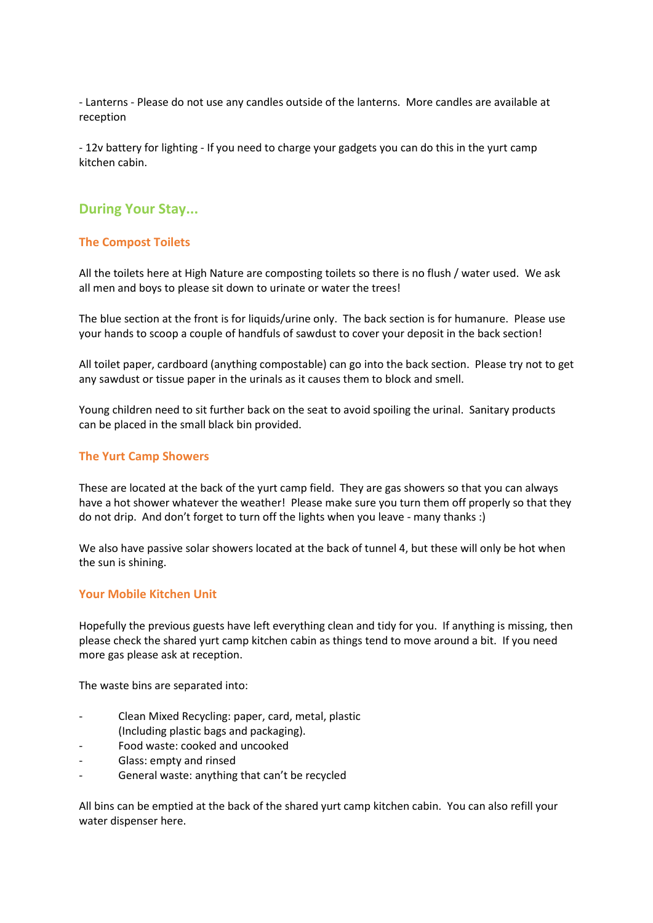- Lanterns - Please do not use any candles outside of the lanterns. More candles are available at reception

- 12v battery for lighting - If you need to charge your gadgets you can do this in the yurt camp kitchen cabin.

# **During Your Stay...**

## **The Compost Toilets**

All the toilets here at High Nature are composting toilets so there is no flush / water used. We ask all men and boys to please sit down to urinate or water the trees!

The blue section at the front is for liquids/urine only. The back section is for humanure. Please use your hands to scoop a couple of handfuls of sawdust to cover your deposit in the back section!

All toilet paper, cardboard (anything compostable) can go into the back section. Please try not to get any sawdust or tissue paper in the urinals as it causes them to block and smell.

Young children need to sit further back on the seat to avoid spoiling the urinal. Sanitary products can be placed in the small black bin provided.

#### **The Yurt Camp Showers**

These are located at the back of the yurt camp field. They are gas showers so that you can always have a hot shower whatever the weather! Please make sure you turn them off properly so that they do not drip. And don't forget to turn off the lights when you leave - many thanks :)

We also have passive solar showers located at the back of tunnel 4, but these will only be hot when the sun is shining.

#### **Your Mobile Kitchen Unit**

Hopefully the previous guests have left everything clean and tidy for you. If anything is missing, then please check the shared yurt camp kitchen cabin as things tend to move around a bit. If you need more gas please ask at reception.

The waste bins are separated into:

- Clean Mixed Recycling: paper, card, metal, plastic
- (Including plastic bags and packaging).
- Food waste: cooked and uncooked
- Glass: empty and rinsed
- General waste: anything that can't be recycled

All bins can be emptied at the back of the shared yurt camp kitchen cabin. You can also refill your water dispenser here.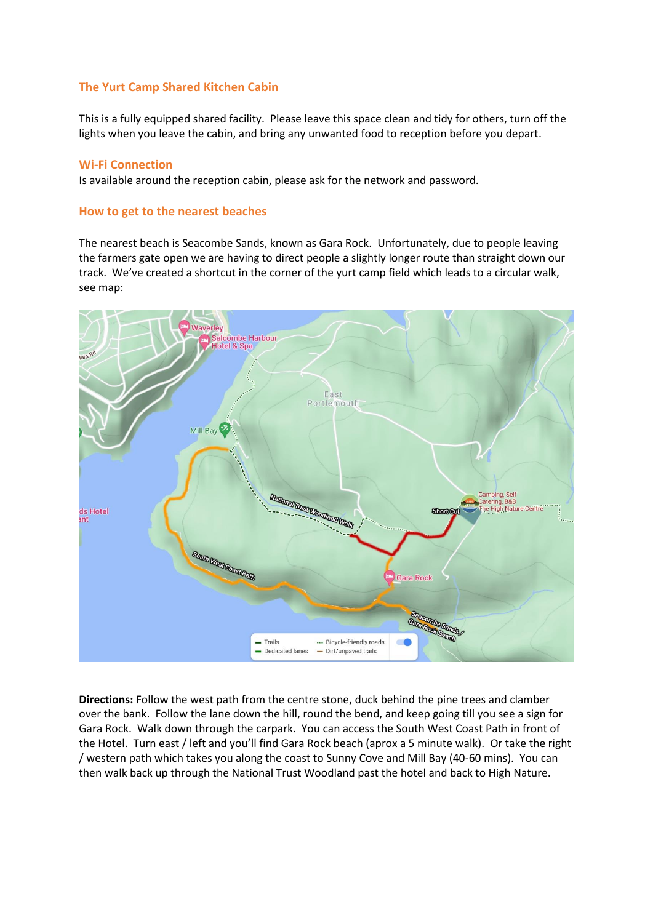## **The Yurt Camp Shared Kitchen Cabin**

This is a fully equipped shared facility. Please leave this space clean and tidy for others, turn off the lights when you leave the cabin, and bring any unwanted food to reception before you depart.

#### **Wi-Fi Connection**

Is available around the reception cabin, please ask for the network and password.

#### **How to get to the nearest beaches**

The nearest beach is Seacombe Sands, known as Gara Rock. Unfortunately, due to people leaving the farmers gate open we are having to direct people a slightly longer route than straight down our track. We've created a shortcut in the corner of the yurt camp field which leads to a circular walk, see map:



**Directions:** Follow the west path from the centre stone, duck behind the pine trees and clamber over the bank. Follow the lane down the hill, round the bend, and keep going till you see a sign for Gara Rock. Walk down through the carpark. You can access the South West Coast Path in front of the Hotel. Turn east / left and you'll find Gara Rock beach (aprox a 5 minute walk). Or take the right / western path which takes you along the coast to Sunny Cove and Mill Bay (40-60 mins). You can then walk back up through the National Trust Woodland past the hotel and back to High Nature.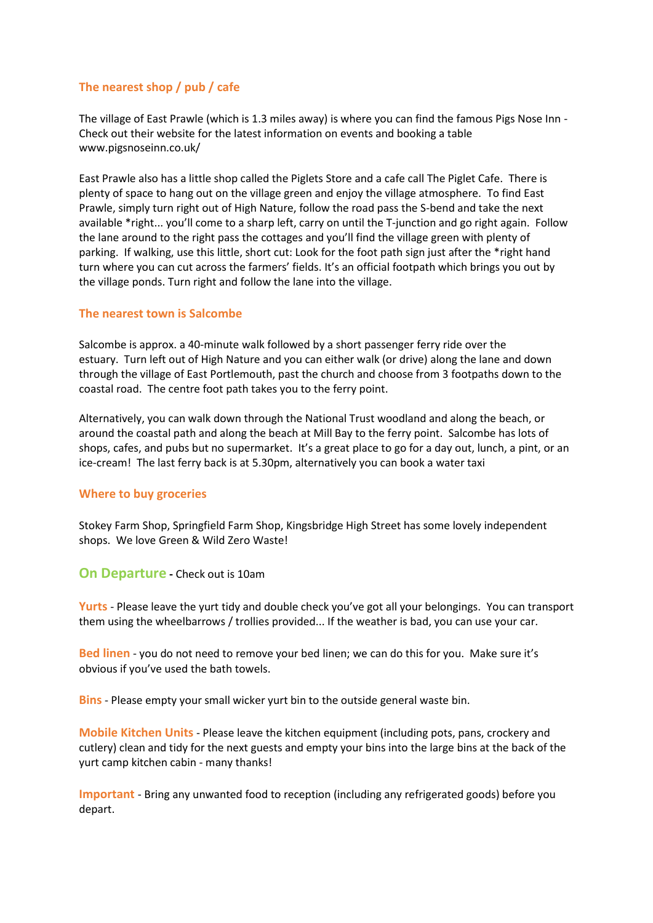# **The nearest shop / pub / cafe**

The village of East Prawle (which is 1.3 miles away) is where you can find the famous Pigs Nose Inn - Check out their website for the latest information on events and booking a table www.pigsnoseinn.co.uk/

East Prawle also has a little shop called the Piglets Store and a cafe call The Piglet Cafe. There is plenty of space to hang out on the village green and enjoy the village atmosphere. To find East Prawle, simply turn right out of High Nature, follow the road pass the S-bend and take the next available \*right... you'll come to a sharp left, carry on until the T-junction and go right again. Follow the lane around to the right pass the cottages and you'll find the village green with plenty of parking. If walking, use this little, short cut: Look for the foot path sign just after the \*right hand turn where you can cut across the farmers' fields. It's an official footpath which brings you out by the village ponds. Turn right and follow the lane into the village.

## **The nearest town is Salcombe**

Salcombe is approx. a 40-minute walk followed by a short passenger ferry ride over the estuary. Turn left out of High Nature and you can either walk (or drive) along the lane and down through the village of East Portlemouth, past the church and choose from 3 footpaths down to the coastal road. The centre foot path takes you to the ferry point.

Alternatively, you can walk down through the National Trust woodland and along the beach, or around the coastal path and along the beach at Mill Bay to the ferry point. Salcombe has lots of shops, cafes, and pubs but no supermarket. It's a great place to go for a day out, lunch, a pint, or an ice-cream! The last ferry back is at 5.30pm, alternatively you can book a water taxi

## **Where to buy groceries**

Stokey Farm Shop, Springfield Farm Shop, Kingsbridge High Street has some lovely independent shops. We love Green & Wild Zero Waste!

**On Departure -** Check out is 10am

**Yurts** - Please leave the yurt tidy and double check you've got all your belongings. You can transport them using the wheelbarrows / trollies provided... If the weather is bad, you can use your car.

**Bed linen** - you do not need to remove your bed linen; we can do this for you. Make sure it's obvious if you've used the bath towels.

**Bins** - Please empty your small wicker yurt bin to the outside general waste bin.

**Mobile Kitchen Units** - Please leave the kitchen equipment (including pots, pans, crockery and cutlery) clean and tidy for the next guests and empty your bins into the large bins at the back of the yurt camp kitchen cabin - many thanks!

**Important** - Bring any unwanted food to reception (including any refrigerated goods) before you depart.